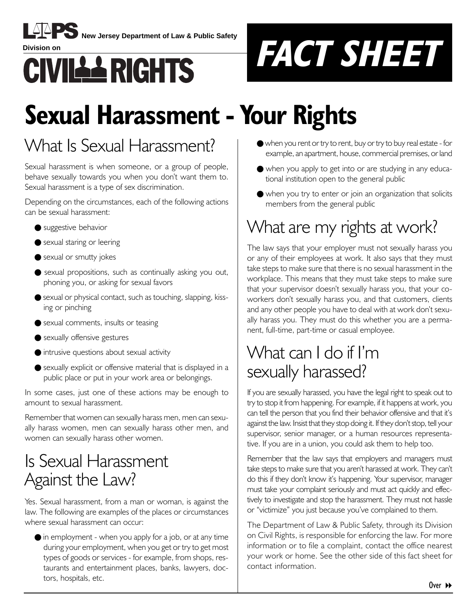

**New Jersey Department of Law & Public Safety** 



# **Sexual Harassment - Your Rights**

### What Is Sexual Harassment?

Sexual harassment is when someone, or a group of people, behave sexually towards you when you don't want them to. Sexual harassment is a type of sex discrimination.

Depending on the circumstances, each of the following actions can be sexual harassment:

- suggestive behavior
- sexual staring or leering
- sexual or smutty jokes
- sexual propositions, such as continually asking you out, phoning you, or asking for sexual favors
- sexual or physical contact, such as touching, slapping, kissing or pinching
- sexual comments, insults or teasing
- sexually offensive gestures
- intrusive questions about sexual activity
- sexually explicit or offensive material that is displayed in a public place or put in your work area or belongings.

In some cases, just one of these actions may be enough to amount to sexual harassment.

Remember that women can sexually harass men, men can sexually harass women, men can sexually harass other men, and women can sexually harass other women.

### Is Sexual Harassment Against the Law?

Yes. Sexual harassment, from a man or woman, is against the law. The following are examples of the places or circumstances where sexual harassment can occur:

 $\bullet$  in employment - when you apply for a job, or at any time during your employment, when you get or try to get most types of goods or services - for example, from shops, restaurants and entertainment places, banks, lawyers, doctors, hospitals, etc.

- when you rent or try to rent, buy or try to buy real estate for example, an apartment, house, commercial premises, or land
- when you apply to get into or are studying in any educational institution open to the general public
- when you try to enter or join an organization that solicits members from the general public

## What are my rights at work?

The law says that your employer must not sexually harass you or any of their employees at work. It also says that they must take steps to make sure that there is no sexual harassment in the workplace. This means that they must take steps to make sure that your supervisor doesnít sexually harass you, that your coworkers donít sexually harass you, and that customers, clients and any other people you have to deal with at work donít sexually harass you. They must do this whether you are a permanent, full-time, part-time or casual employee.

### What can I do if Iím sexually harassed?

If you are sexually harassed, you have the legal right to speak out to try to stop it from happening. For example, if it happens at work, you can tell the person that you find their behavior offensive and that it's against the law. Insist that they stop doing it. If they don't stop, tell your supervisor, senior manager, or a human resources representative. If you are in a union, you could ask them to help too.

Remember that the law says that employers and managers must take steps to make sure that you aren't harassed at work. They can't do this if they don't know it's happening. Your supervisor, manager must take your complaint seriously and must act quickly and effectively to investigate and stop the harassment. They must not hassle or "victimize" you just because you've complained to them.

The Department of Law & Public Safety, through its Division on Civil Rights, is responsible for enforcing the law. For more information or to file a complaint, contact the office nearest your work or home. See the other side of this fact sheet for contact information.